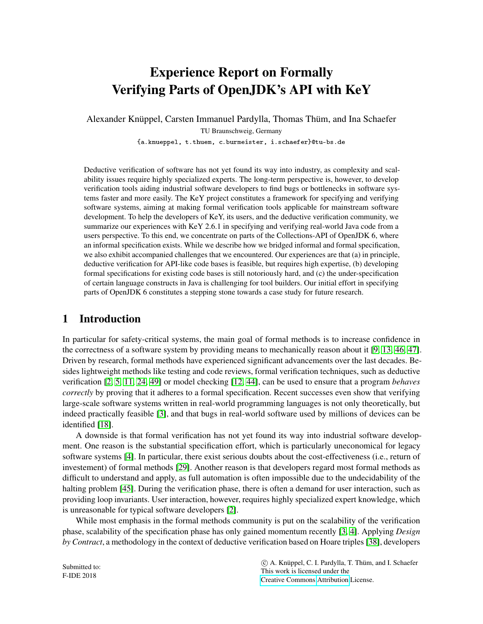# Experience Report on Formally Verifying Parts of OpenJDK's API with KeY

Alexander Knüppel, Carsten Immanuel Pardylla, Thomas Thüm, and Ina Schaefer TU Braunschweig, Germany

{a.knueppel, t.thuem, c.burmeister, i.schaefer}@tu-bs.de

Deductive verification of software has not yet found its way into industry, as complexity and scalability issues require highly specialized experts. The long-term perspective is, however, to develop verification tools aiding industrial software developers to find bugs or bottlenecks in software systems faster and more easily. The KeY project constitutes a framework for specifying and verifying software systems, aiming at making formal verification tools applicable for mainstream software development. To help the developers of KeY, its users, and the deductive verification community, we summarize our experiences with KeY 2.6.1 in specifying and verifying real-world Java code from a users perspective. To this end, we concentrate on parts of the Collections-API of OpenJDK 6, where an informal specification exists. While we describe how we bridged informal and formal specification, we also exhibit accompanied challenges that we encountered. Our experiences are that (a) in principle, deductive verification for API-like code bases is feasible, but requires high expertise, (b) developing formal specifications for existing code bases is still notoriously hard, and (c) the under-specification of certain language constructs in Java is challenging for tool builders. Our initial effort in specifying parts of OpenJDK 6 constitutes a stepping stone towards a case study for future research.

# 1 Introduction

In particular for safety-critical systems, the main goal of formal methods is to increase confidence in the correctness of a software system by providing means to mechanically reason about it [\[9,](#page-15-0) [13,](#page-15-1) [46,](#page-17-0) [47\]](#page-17-1). Driven by research, formal methods have experienced significant advancements over the last decades. Besides lightweight methods like testing and code reviews, formal verification techniques, such as deductive verification [\[2,](#page-14-0) [5,](#page-15-2) [11,](#page-15-3) [24,](#page-16-0) [49\]](#page-17-2) or model checking [\[12,](#page-15-4) [44\]](#page-17-3), can be used to ensure that a program *behaves correctly* by proving that it adheres to a formal specification. Recent successes even show that verifying large-scale software systems written in real-world programming languages is not only theoretically, but indeed practically feasible [\[3\]](#page-14-1), and that bugs in real-world software used by millions of devices can be identified [\[18\]](#page-15-5).

A downside is that formal verification has not yet found its way into industrial software development. One reason is the substantial specification effort, which is particularly uneconomical for legacy software systems [\[4\]](#page-14-2). In particular, there exist serious doubts about the cost-effectiveness (i.e., return of investement) of formal methods [\[29\]](#page-16-1). Another reason is that developers regard most formal methods as difficult to understand and apply, as full automation is often impossible due to the undecidability of the halting problem [\[45\]](#page-17-4). During the verification phase, there is often a demand for user interaction, such as providing loop invariants. User interaction, however, requires highly specialized expert knowledge, which is unreasonable for typical software developers [\[2\]](#page-14-0).

While most emphasis in the formal methods community is put on the scalability of the verification phase, scalability of the specification phase has only gained momentum recently [\[3,](#page-14-1) [4\]](#page-14-2). Applying *Design by Contract*, a methodology in the context of deductive verification based on Hoare triples [\[38\]](#page-16-2), developers

Submitted to: F-IDE 2018

 c A. Knüppel, C. I. Pardylla, T. Thüm, and I. Schaefer This work is licensed under the [Creative Commons](http://creativecommons.org) [Attribution](http://creativecommons.org/licenses/by/3.0/) License.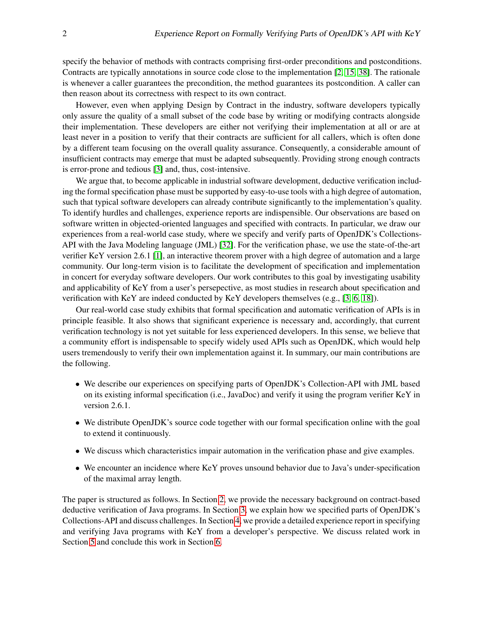specify the behavior of methods with contracts comprising first-order preconditions and postconditions. Contracts are typically annotations in source code close to the implementation [\[2,](#page-14-0) [15,](#page-15-6) [38\]](#page-16-2). The rationale is whenever a caller guarantees the precondition, the method guarantees its postcondition. A caller can then reason about its correctness with respect to its own contract.

However, even when applying Design by Contract in the industry, software developers typically only assure the quality of a small subset of the code base by writing or modifying contracts alongside their implementation. These developers are either not verifying their implementation at all or are at least never in a position to verify that their contracts are sufficient for all callers, which is often done by a different team focusing on the overall quality assurance. Consequently, a considerable amount of insufficient contracts may emerge that must be adapted subsequently. Providing strong enough contracts is error-prone and tedious [\[3\]](#page-14-1) and, thus, cost-intensive.

We argue that, to become applicable in industrial software development, deductive verification including the formal specification phase must be supported by easy-to-use tools with a high degree of automation, such that typical software developers can already contribute significantly to the implementation's quality. To identify hurdles and challenges, experience reports are indispensible. Our observations are based on software written in objected-oriented languages and specified with contracts. In particular, we draw our experiences from a real-world case study, where we specify and verify parts of OpenJDK's Collections-API with the Java Modeling language (JML) [\[32\]](#page-16-3). For the verification phase, we use the state-of-the-art verifier KeY version 2.6.1 [\[1\]](#page-14-3), an interactive theorem prover with a high degree of automation and a large community. Our long-term vision is to facilitate the development of specification and implementation in concert for everyday software developers. Our work contributes to this goal by investigating usability and applicability of KeY from a user's persepective, as most studies in research about specification and verification with KeY are indeed conducted by KeY developers themselves (e.g., [\[3,](#page-14-1) [6,](#page-15-7) [18\]](#page-15-5)).

Our real-world case study exhibits that formal specification and automatic verification of APIs is in principle feasible. It also shows that significant experience is necessary and, accordingly, that current verification technology is not yet suitable for less experienced developers. In this sense, we believe that a community effort is indispensable to specify widely used APIs such as OpenJDK, which would help users tremendously to verify their own implementation against it. In summary, our main contributions are the following.

- We describe our experiences on specifying parts of OpenJDK's Collection-API with JML based on its existing informal specification (i.e., JavaDoc) and verify it using the program verifier KeY in version 2.6.1.
- We distribute OpenJDK's source code together with our formal specification online with the goal to extend it continuously.
- We discuss which characteristics impair automation in the verification phase and give examples.
- We encounter an incidence where KeY proves unsound behavior due to Java's under-specification of the maximal array length.

The paper is structured as follows. In Section [2,](#page-2-0) we provide the necessary background on contract-based deductive verification of Java programs. In Section [3,](#page-3-0) we explain how we specified parts of OpenJDK's Collections-API and discuss challenges. In Section [4,](#page-7-0) we provide a detailed experience report in specifying and verifying Java programs with KeY from a developer's perspective. We discuss related work in Section [5](#page-12-0) and conclude this work in Section [6.](#page-13-0)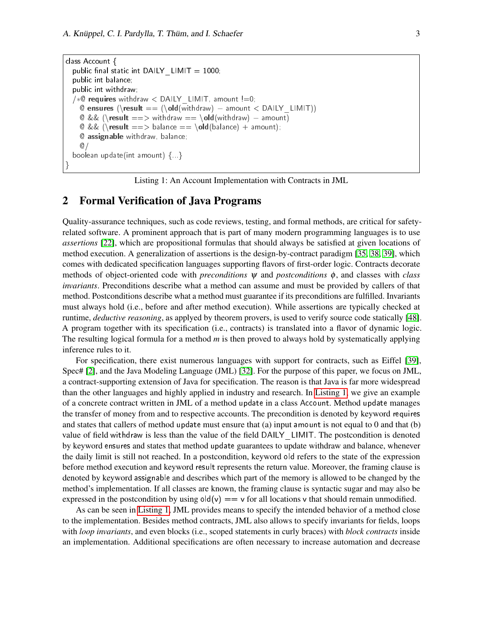```
class Account {
  public final static int DAILY_LIMIT = 1000;
  public int balance;
  public int withdraw;
  /∗© requires withdraw < DAILY LIMIT, amount !=0;
    © ensures (\result == (\old(withdraw) – amount \langle DAILY_LIMIT))
    © && (\result ==> withdraw == \old(withdraw) – amount)
    @ \&\& \text{ }(\text{result} ==> \text{balance} == \text{old}(\text{balance}) + \text{amount});@ assignable withdraw, balance;
     @/
  boolean update(int amount) {...}
}
```
Listing 1: An Account Implementation with Contracts in JML

# <span id="page-2-0"></span>2 Formal Verification of Java Programs

Quality-assurance techniques, such as code reviews, testing, and formal methods, are critical for safetyrelated software. A prominent approach that is part of many modern programming languages is to use *assertions* [\[22\]](#page-15-8), which are propositional formulas that should always be satisfied at given locations of method execution. A generalization of assertions is the design-by-contract paradigm [\[35,](#page-16-4) [38,](#page-16-2) [39\]](#page-16-5), which comes with dedicated specification languages supporting flavors of first-order logic. Contracts decorate methods of object-oriented code with *preconditions*  $\psi$  and *postconditions*  $\phi$ , and classes with *class invariants*. Preconditions describe what a method can assume and must be provided by callers of that method. Postconditions describe what a method must guarantee if its preconditions are fulfilled. Invariants must always hold (i.e., before and after method execution). While assertions are typically checked at runtime, *deductive reasoning*, as applyed by theorem provers, is used to verify source code statically [\[48\]](#page-17-5). A program together with its specification (i.e., contracts) is translated into a flavor of dynamic logic. The resulting logical formula for a method *m* is then proved to always hold by systematically applying inference rules to it.

For specification, there exist numerous languages with support for contracts, such as Eiffel [\[39\]](#page-16-5), Spec# [\[2\]](#page-14-0), and the Java Modeling Language (JML) [\[32\]](#page-16-3). For the purpose of this paper, we focus on JML, a contract-supporting extension of Java for specification. The reason is that Java is far more widespread than the other languages and highly applied in industry and research. In [Listing 1,](#page-2-1) we give an example of a concrete contract written in JML of a method update in a class Account. Method update manages the transfer of money from and to respective accounts. The precondition is denoted by keyword requires and states that callers of method update must ensure that (a) input amount is not equal to 0 and that (b) value of field withdraw is less than the value of the field DAILY\_LIMIT. The postcondition is denoted by keyword ensures and states that method update guarantees to update withdraw and balance, whenever the daily limit is still not reached. In a postcondition, keyword old refers to the state of the expression before method execution and keyword result represents the return value. Moreover, the framing clause is denoted by keyword assignable and describes which part of the memory is allowed to be changed by the method's implementation. If all classes are known, the framing clause is syntactic sugar and may also be expressed in the postcondition by using  $\text{old}(v) = v$  for all locations v that should remain unmodified.

As can be seen in [Listing 1,](#page-2-1) JML provides means to specify the intended behavior of a method close to the implementation. Besides method contracts, JML also allows to specify invariants for fields, loops with *loop invariants*, and even blocks (i.e., scoped statements in curly braces) with *block contracts* inside an implementation. Additional specifications are often necessary to increase automation and decrease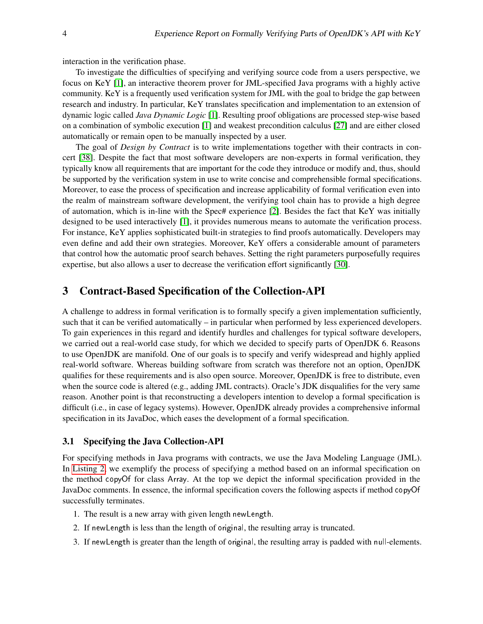interaction in the verification phase.

To investigate the difficulties of specifying and verifying source code from a users perspective, we focus on KeY [\[1\]](#page-14-3), an interactive theorem prover for JML-specified Java programs with a highly active community. KeY is a frequently used verification system for JML with the goal to bridge the gap between research and industry. In particular, KeY translates specification and implementation to an extension of dynamic logic called *Java Dynamic Logic* [\[1\]](#page-14-3). Resulting proof obligations are processed step-wise based on a combination of symbolic execution [\[1\]](#page-14-3) and weakest precondition calculus [\[27\]](#page-16-6) and are either closed automatically or remain open to be manually inspected by a user.

The goal of *Design by Contract* is to write implementations together with their contracts in concert [\[38\]](#page-16-2). Despite the fact that most software developers are non-experts in formal verification, they typically know all requirements that are important for the code they introduce or modify and, thus, should be supported by the verification system in use to write concise and comprehensible formal specifications. Moreover, to ease the process of specification and increase applicability of formal verification even into the realm of mainstream software development, the verifying tool chain has to provide a high degree of automation, which is in-line with the Spec# experience [\[2\]](#page-14-0). Besides the fact that KeY was initially designed to be used interactively [\[1\]](#page-14-3), it provides numerous means to automate the verification process. For instance, KeY applies sophisticated built-in strategies to find proofs automatically. Developers may even define and add their own strategies. Moreover, KeY offers a considerable amount of parameters that control how the automatic proof search behaves. Setting the right parameters purposefully requires expertise, but also allows a user to decrease the verification effort significantly [\[30\]](#page-16-7).

# <span id="page-3-0"></span>3 Contract-Based Specification of the Collection-API

A challenge to address in formal verification is to formally specify a given implementation sufficiently, such that it can be verified automatically – in particular when performed by less experienced developers. To gain experiences in this regard and identify hurdles and challenges for typical software developers, we carried out a real-world case study, for which we decided to specify parts of OpenJDK 6. Reasons to use OpenJDK are manifold. One of our goals is to specify and verify widespread and highly applied real-world software. Whereas building software from scratch was therefore not an option, OpenJDK qualifies for these requirements and is also open source. Moreover, OpenJDK is free to distribute, even when the source code is altered (e.g., adding JML contracts). Oracle's JDK disqualifies for the very same reason. Another point is that reconstructing a developers intention to develop a formal specification is difficult (i.e., in case of legacy systems). However, OpenJDK already provides a comprehensive informal specification in its JavaDoc, which eases the development of a formal specification.

#### 3.1 Specifying the Java Collection-API

For specifying methods in Java programs with contracts, we use the Java Modeling Language (JML). In [Listing 2,](#page-4-0) we exemplify the process of specifying a method based on an informal specification on the method copyOf for class Array. At the top we depict the informal specification provided in the JavaDoc comments. In essence, the informal specification covers the following aspects if method copyOf successfully terminates.

- 1. The result is a new array with given length newLength.
- 2. If newLength is less than the length of original, the resulting array is truncated.
- 3. If newLength is greater than the length of original, the resulting array is padded with null-elements.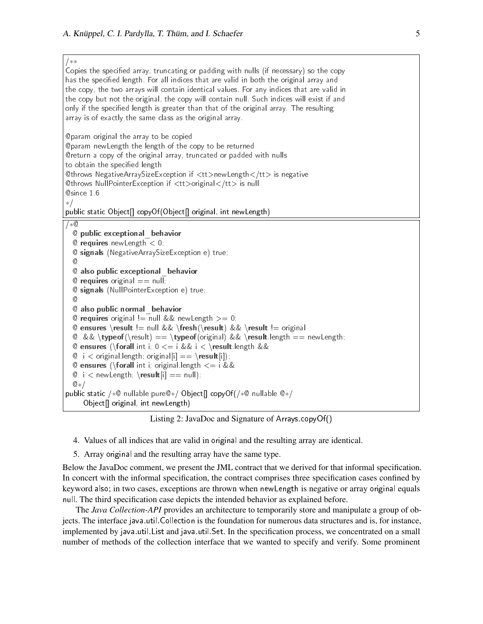<span id="page-4-0"></span>/∗∗

Copies the specified array, truncating or padding with nulls (if necessary) so the copy has the specified length. For all indices that are valid in both the original array and the copy, the two arrays will contain identical values. For any indices that are valid in the copy but not the original, the copy will contain null. Such indices will exist if and only if the specified length is greater than that of the original array. The resulting array is of exactly the same class as the original array. @param original the array to be copied @param newLength the length of the copy to be returned @return a copy of the original array, truncated or padded with nulls to obtain the specified length @throws NegativeArraySizeException if <tt>newLength</tt> is negative @throws NullPointerException if <tt>original</tt> is null @since 1.6 ∗/ public static Object[] copyOf(Object[] original, int newLength) /∗@ @ public exceptional\_behavior  $@$  requires new Length  $< 0$ ; @ signals (NegativeArraySizeException e) true; @ @ also public exceptional\_behavior  $@$  requires original  $==$  null; @ signals (NullPointerException e) true;  $\omega$ @ also public normal\_behavior @ requires original  $!=$  null && newLength  $>= 0$ ; @ ensures \result != null && \fresh(\result) && \result != original @ && \typeof(\result) == \typeof(original) && \result.length == newLength; **@ ensures (\forall int i; 0 < = i && i < \result.length &&**  $\mathbb{Q}$  i  $\lt$  original.length; original[i] == \result[i]); **@ ensures (\forall int i; original length**  $\zeta = i \&\&$  $\mathbb{O}$  i  $\lt$  new Length; \result[i] == null); @∗/ public static /∗@ nullable pure@∗/ Object[] copyOf(/∗@ nullable @∗/ Object[] original, int newLength)

Listing 2: JavaDoc and Signature of Arrays.copyOf()

- 4. Values of all indices that are valid in original and the resulting array are identical.
- 5. Array original and the resulting array have the same type.

Below the JavaDoc comment, we present the JML contract that we derived for that informal specification. In concert with the informal specification, the contract comprises three specification cases confined by keyword also; in two cases, exceptions are thrown when newLength is negative or array original equals null. The third specification case depicts the intended behavior as explained before.

The *Java Collection-API* provides an architecture to temporarily store and manipulate a group of objects. The interface java.util.Collection is the foundation for numerous data structures and is, for instance, implemented by java.util.List and java.util.Set. In the specification process, we concentrated on a small number of methods of the collection interface that we wanted to specify and verify. Some prominent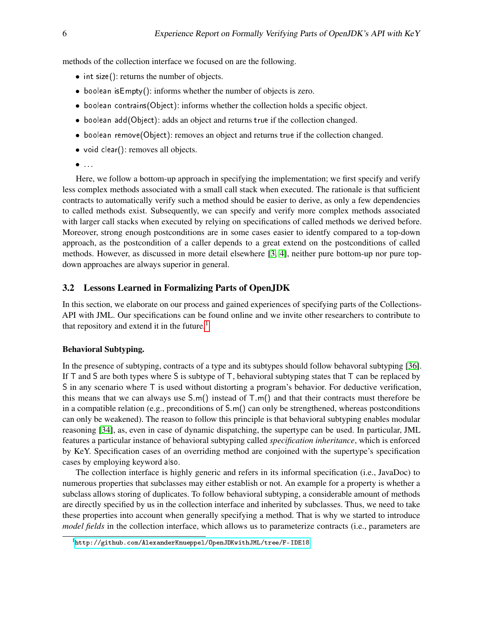methods of the collection interface we focused on are the following.

- int size(): returns the number of objects.
- boolean isEmpty(): informs whether the number of objects is zero.
- boolean contrains(Object): informs whether the collection holds a specific object.
- boolean add(Object): adds an object and returns true if the collection changed.
- boolean remove(Object): removes an object and returns true if the collection changed.
- void clear(): removes all objects.
- $\bullet$  ...

Here, we follow a bottom-up approach in specifying the implementation; we first specify and verify less complex methods associated with a small call stack when executed. The rationale is that sufficient contracts to automatically verify such a method should be easier to derive, as only a few dependencies to called methods exist. Subsequently, we can specify and verify more complex methods associated with larger call stacks when executed by relying on specifications of called methods we derived before. Moreover, strong enough postconditions are in some cases easier to identfy compared to a top-down approach, as the postcondition of a caller depends to a great extend on the postconditions of called methods. However, as discussed in more detail elsewhere [\[3,](#page-14-1) [4\]](#page-14-2), neither pure bottom-up nor pure topdown approaches are always superior in general.

#### 3.2 Lessons Learned in Formalizing Parts of OpenJDK

In this section, we elaborate on our process and gained experiences of specifying parts of the Collections-API with JML. Our specifications can be found online and we invite other researchers to contribute to that repository and extend it in the future.<sup>[1](#page-5-0)</sup>

#### Behavioral Subtyping.

In the presence of subtyping, contracts of a type and its subtypes should follow behavoral subtyping [\[36\]](#page-16-8). If  $T$  and S are both types where S is subtype of  $T$ , behavioral subtyping states that  $T$  can be replaced by S in any scenario where  $\top$  is used without distorting a program's behavior. For deductive verification, this means that we can always use  $S.m()$  instead of  $T.m()$  and that their contracts must therefore be in a compatible relation (e.g., preconditions of  $S \cdot m$ ) can only be strengthened, whereas postconditions can only be weakened). The reason to follow this principle is that behavioral subtyping enables modular reasoning [\[34\]](#page-16-9), as, even in case of dynamic dispatching, the supertype can be used. In particular, JML features a particular instance of behavioral subtyping called *specification inheritance*, which is enforced by KeY. Specification cases of an overriding method are conjoined with the supertype's specification cases by employing keyword also.

The collection interface is highly generic and refers in its informal specification (i.e., JavaDoc) to numerous properties that subclasses may either establish or not. An example for a property is whether a subclass allows storing of duplicates. To follow behavioral subtyping, a considerable amount of methods are directly specified by us in the collection interface and inherited by subclasses. Thus, we need to take these properties into account when generally specifying a method. That is why we started to introduce *model fields* in the collection interface, which allows us to parameterize contracts (i.e., parameters are

<span id="page-5-0"></span><sup>1</sup><http://github.com/AlexanderKnueppel/OpenJDKwithJML/tree/F-IDE18>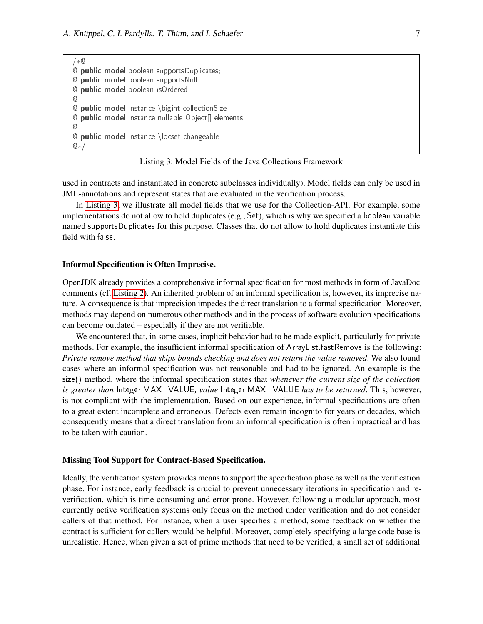<span id="page-6-0"></span>/∗@ @ public model boolean supportsDuplicates; @ public model boolean supportsNull; @ public model boolean isOrdered; @ @ public model instance \bigint collectionSize; @ public model instance nullable Object[] elements; @ @ public model instance \locset changeable; @∗/

Listing 3: Model Fields of the Java Collections Framework

used in contracts and instantiated in concrete subclasses individually). Model fields can only be used in JML-annotations and represent states that are evaluated in the verification process.

In [Listing 3,](#page-6-0) we illustrate all model fields that we use for the Collection-API. For example, some implementations do not allow to hold duplicates (e.g., Set), which is why we specified a boolean variable named supportsDuplicates for this purpose. Classes that do not allow to hold duplicates instantiate this field with false.

#### Informal Specification is Often Imprecise.

OpenJDK already provides a comprehensive informal specification for most methods in form of JavaDoc comments (cf. [Listing 2\)](#page-4-0). An inherited problem of an informal specification is, however, its imprecise nature. A consequence is that imprecision impedes the direct translation to a formal specification. Moreover, methods may depend on numerous other methods and in the process of software evolution specifications can become outdated – especially if they are not verifiable.

We encountered that, in some cases, implicit behavior had to be made explicit, particularly for private methods. For example, the insufficient informal specification of ArrayList.fastRemove is the following: *Private remove method that skips bounds checking and does not return the value removed*. We also found cases where an informal specification was not reasonable and had to be ignored. An example is the size() method, where the informal specification states that *whenever the current size of the collection is greater than* Integer.MAX\_VALUE*, value* Integer.MAX\_VALUE *has to be returned*. This, however, is not compliant with the implementation. Based on our experience, informal specifications are often to a great extent incomplete and erroneous. Defects even remain incognito for years or decades, which consequently means that a direct translation from an informal specification is often impractical and has to be taken with caution.

#### Missing Tool Support for Contract-Based Specification.

Ideally, the verification system provides means to support the specification phase as well as the verification phase. For instance, early feedback is crucial to prevent unnecessary iterations in specification and reverification, which is time consuming and error prone. However, following a modular approach, most currently active verification systems only focus on the method under verification and do not consider callers of that method. For instance, when a user specifies a method, some feedback on whether the contract is sufficient for callers would be helpful. Moreover, completely specifying a large code base is unrealistic. Hence, when given a set of prime methods that need to be verified, a small set of additional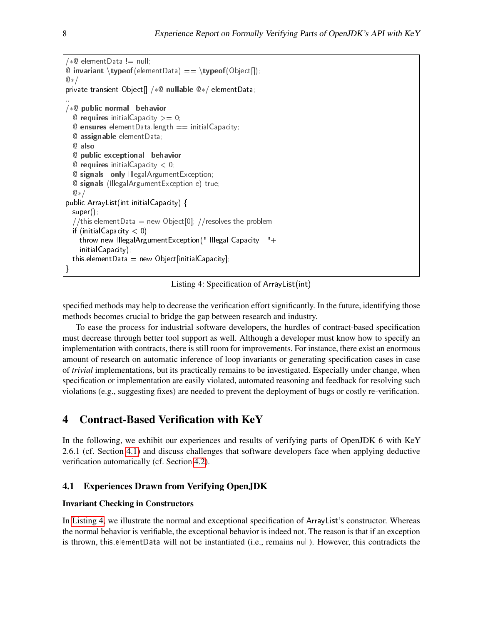```
/∗@ elementData != null;
\mathbb{Q} invariant \typeof(elementData) == \typeof(Object[]);
@∗/
private transient Object[] /∗@ nullable @∗/ elementData;
...
/∗@ public normal_behavior
  @ requires initial Capacity >= 0;@ ensures element Data length == initial Capacity;
  @ assignable elementData;
  @ also
  @ public exceptional_behavior
  @ requires initial Capacity < 0;
  @ signals_only IllegalArgumentException;
  @ signals (IllegalArgumentException e) true;
  @∗/
public ArrayList(int initialCapacity) {
 super();
  //this.elementData = new Object[0]; //resolves the problem
  if (initialCapacity < 0)
    throw new IllegalArgumentException(" Illegal Capacity : "+
    initialCapacity);
  this element Data = new Object [initial Capacity];
}
```
Listing 4: Specification of ArrayList(int)

specified methods may help to decrease the verification effort significantly. In the future, identifying those methods becomes crucial to bridge the gap between research and industry.

To ease the process for industrial software developers, the hurdles of contract-based specification must decrease through better tool support as well. Although a developer must know how to specify an implementation with contracts, there is still room for improvements. For instance, there exist an enormous amount of research on automatic inference of loop invariants or generating specification cases in case of *trivial* implementations, but its practically remains to be investigated. Especially under change, when specification or implementation are easily violated, automated reasoning and feedback for resolving such violations (e.g., suggesting fixes) are needed to prevent the deployment of bugs or costly re-verification.

# <span id="page-7-0"></span>4 Contract-Based Verification with KeY

In the following, we exhibit our experiences and results of verifying parts of OpenJDK 6 with KeY 2.6.1 (cf. Section [4.1\)](#page-7-1) and discuss challenges that software developers face when applying deductive verification automatically (cf. Section [4.2\)](#page-10-0).

### <span id="page-7-1"></span>4.1 Experiences Drawn from Verifying OpenJDK

#### Invariant Checking in Constructors

In [Listing 4,](#page-7-2) we illustrate the normal and exceptional specification of ArrayList's constructor. Whereas the normal behavior is verifiable, the exceptional behavior is indeed not. The reason is that if an exception is thrown, this.elementData will not be instantiated (i.e., remains null). However, this contradicts the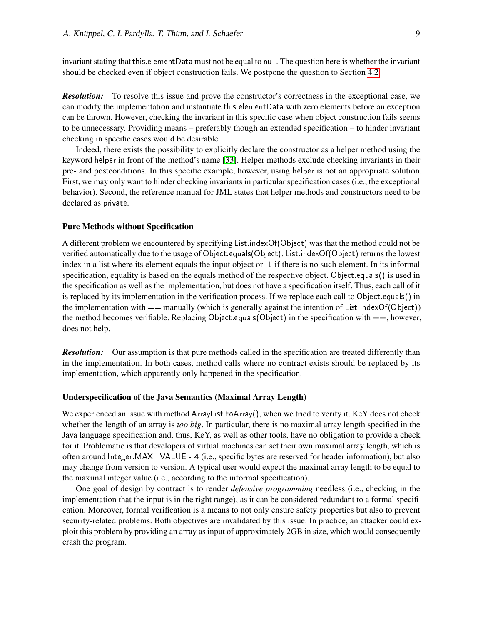invariant stating that this.elementData must not be equal to null. The question here is whether the invariant should be checked even if object construction fails. We postpone the question to Section [4.2.](#page-10-0)

*Resolution:* To resolve this issue and prove the constructor's correctness in the exceptional case, we can modify the implementation and instantiate this.elementData with zero elements before an exception can be thrown. However, checking the invariant in this specific case when object construction fails seems to be unnecessary. Providing means – preferably though an extended specification – to hinder invariant checking in specific cases would be desirable.

Indeed, there exists the possibility to explicitly declare the constructor as a helper method using the keyword helper in front of the method's name [\[33\]](#page-16-10). Helper methods exclude checking invariants in their pre- and postconditions. In this specific example, however, using helper is not an appropriate solution. First, we may only want to hinder checking invariants in particular specification cases (i.e., the exceptional behavior). Second, the reference manual for JML states that helper methods and constructors need to be declared as private.

#### Pure Methods without Specification

A different problem we encountered by specifying List.indexOf(Object) was that the method could not be verified automatically due to the usage of Object.equals(Object). List.indexOf(Object) returns the lowest index in a list where its element equals the input object or -1 if there is no such element. In its informal specification, equality is based on the equals method of the respective object. Object.equals() is used in the specification as well as the implementation, but does not have a specification itself. Thus, each call of it is replaced by its implementation in the verification process. If we replace each call to Object.equals() in the implementation with  $==$  manually (which is generally against the intention of List.indexOf(Object)) the method becomes verifiable. Replacing Object.equals(Object) in the specification with  $==$ , however, does not help.

*Resolution:* Our assumption is that pure methods called in the specification are treated differently than in the implementation. In both cases, method calls where no contract exists should be replaced by its implementation, which apparently only happened in the specification.

#### Underspecification of the Java Semantics (Maximal Array Length)

We experienced an issue with method ArrayList.toArray(), when we tried to verify it. KeY does not check whether the length of an array is *too big*. In particular, there is no maximal array length specified in the Java language specification and, thus, KeY, as well as other tools, have no obligation to provide a check for it. Problematic is that developers of virtual machines can set their own maximal array length, which is often around Integer.MAX\_VALUE - 4 (i.e., specific bytes are reserved for header information), but also may change from version to version. A typical user would expect the maximal array length to be equal to the maximal integer value (i.e., according to the informal specification).

One goal of design by contract is to render *defensive programming* needless (i.e., checking in the implementation that the input is in the right range), as it can be considered redundant to a formal specification. Moreover, formal verification is a means to not only ensure safety properties but also to prevent security-related problems. Both objectives are invalidated by this issue. In practice, an attacker could exploit this problem by providing an array as input of approximately 2GB in size, which would consequently crash the program.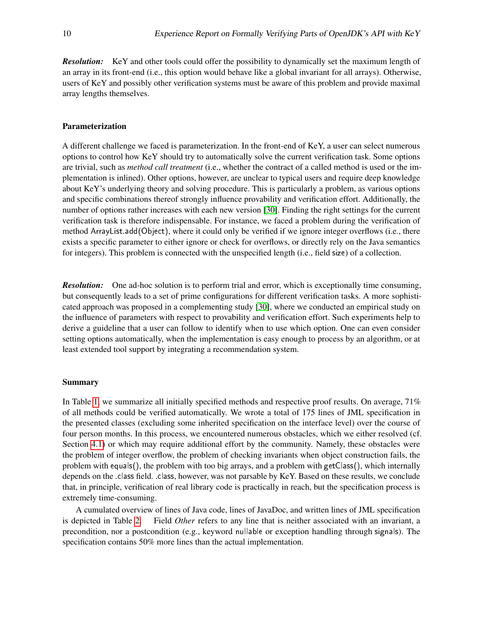*Resolution:* KeY and other tools could offer the possibility to dynamically set the maximum length of an array in its front-end (i.e., this option would behave like a global invariant for all arrays). Otherwise, users of KeY and possibly other verification systems must be aware of this problem and provide maximal array lengths themselves.

#### Parameterization

A different challenge we faced is parameterization. In the front-end of KeY, a user can select numerous options to control how KeY should try to automatically solve the current verification task. Some options are trivial, such as *method call treatment* (i.e., whether the contract of a called method is used or the implementation is inlined). Other options, however, are unclear to typical users and require deep knowledge about KeY's underlying theory and solving procedure. This is particularly a problem, as various options and specific combinations thereof strongly influence provability and verification effort. Additionally, the number of options rather increases with each new version [\[30\]](#page-16-7). Finding the right settings for the current verification task is therefore indispensable. For instance, we faced a problem during the verification of method ArrayList.add(Object), where it could only be verified if we ignore integer overflows (i.e., there exists a specific parameter to either ignore or check for overflows, or directly rely on the Java semantics for integers). This problem is connected with the unspecified length (i.e., field size) of a collection.

*Resolution:* One ad-hoc solution is to perform trial and error, which is exceptionally time consuming, but consequently leads to a set of prime configurations for different verification tasks. A more sophisticated approach was proposed in a complementing study [\[30\]](#page-16-7), where we conducted an empirical study on the influence of parameters with respect to provability and verification effort. Such experiments help to derive a guideline that a user can follow to identify when to use which option. One can even consider setting options automatically, when the implementation is easy enough to process by an algorithm, or at least extended tool support by integrating a recommendation system.

#### Summary

In Table [1,](#page-10-1) we summarize all initially specified methods and respective proof results. On average, 71% of all methods could be verified automatically. We wrote a total of 175 lines of JML specification in the presented classes (excluding some inherited specification on the interface level) over the course of four person months. In this process, we encountered numerous obstacles, which we either resolved (cf. Section [4.1\)](#page-7-1) or which may require additional effort by the community. Namely, these obstacles were the problem of integer overflow, the problem of checking invariants when object construction fails, the problem with equals(), the problem with too big arrays, and a problem with getClass(), which internally depends on the .class field. .class, however, was not parsable by KeY. Based on these results, we conclude that, in principle, verification of real library code is practically in reach, but the specification process is extremely time-consuming.

A cumulated overview of lines of Java code, lines of JavaDoc, and written lines of JML specification is depicted in Table [2.](#page-11-0) Field *Other* refers to any line that is neither associated with an invariant, a precondition, nor a postcondition (e.g., keyword nullable or exception handling through signals). The specification contains 50% more lines than the actual implementation.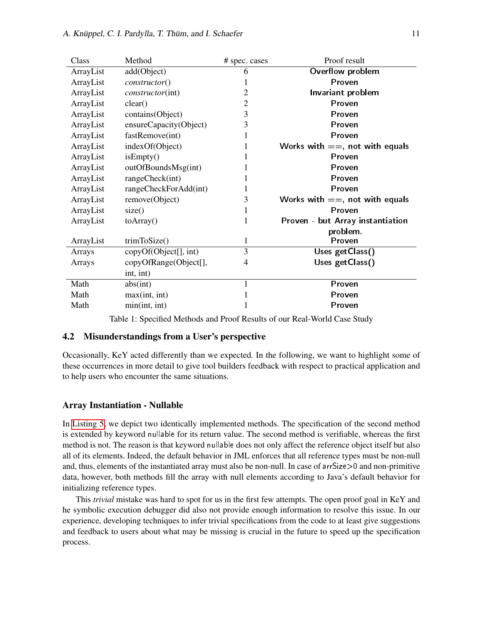| Class     | Method                  | # spec. cases  | Proof result                      |
|-----------|-------------------------|----------------|-----------------------------------|
| ArrayList | add(Object)             | 6              | Overflow problem                  |
| ArrayList | constructor()           | 1              | Proven                            |
| ArrayList | <i>constructor(int)</i> | 2              | Invariant problem                 |
| ArrayList | clear()                 | $\overline{c}$ | Proven                            |
| ArrayList | contains(Object)        | 3              | Proven                            |
| ArrayList | ensureCapacity(Object)  | 3              | Proven                            |
| ArrayList | fastRemove(int)         | 1              | Proven                            |
| ArrayList | indexOf(Object)         | 1              | Works with $==$ , not with equals |
| ArrayList | isEmpty()               | 1              | Proven                            |
| ArrayList | outOfBoundsMsg(int)     | 1              | Proven                            |
| ArrayList | rangeCheck(int)         | 1              | Proven                            |
| ArrayList | rangeCheckForAdd(int)   | 1              | Proven                            |
| ArrayList | remove(Object)          | 3              | Works with $==$ , not with equals |
| ArrayList | size()                  | 1              | Proven                            |
| ArrayList | toArray()               | 1              | Proven - but Array instantiation  |
|           |                         |                | problem.                          |
| ArrayList | trimToSize()            | $\mathbf{1}$   | Proven                            |
| Arrays    | copyOf(Object[], int)   | 3              | Uses getClass()                   |
| Arrays    | copyOfRange(Object[],   | $\overline{4}$ | Uses getClass()                   |
|           | int, int)               |                |                                   |
| Math      | abs(int)                | 1              | Proven                            |
| Math      | max(int, int)           | 1              | Proven                            |
| Math      | min(int, int)           | 1              | Proven                            |

<span id="page-10-1"></span>Table 1: Specified Methods and Proof Results of our Real-World Case Study

#### <span id="page-10-0"></span>4.2 Misunderstandings from a User's perspective

Occasionally, KeY acted differently than we expected. In the following, we want to highlight some of these occurrences in more detail to give tool builders feedback with respect to practical application and to help users who encounter the same situations.

#### Array Instantiation - Nullable

In [Listing 5,](#page-11-1) we depict two identically implemented methods. The specification of the second method is extended by keyword nullable for its return value. The second method is verifiable, whereas the first method is not. The reason is that keyword nullable does not only affect the reference object itself but also all of its elements. Indeed, the default behavior in JML enforces that all reference types must be non-null and, thus, elements of the instantiated array must also be non-null. In case of arrSize>0 and non-primitive data, however, both methods fill the array with null elements according to Java's default behavior for initializing reference types.

This *trivial* mistake was hard to spot for us in the first few attempts. The open proof goal in KeY and he symbolic execution debugger did also not provide enough information to resolve this issue. In our experience, developing techniques to infer trivial specifications from the code to at least give suggestions and feedback to users about what may be missing is crucial in the future to speed up the specification process.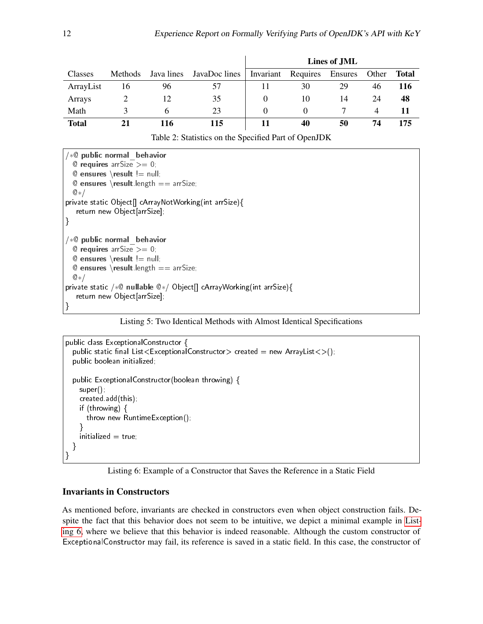|              |         |            |               |           |          | Lines of JML   |       |       |
|--------------|---------|------------|---------------|-----------|----------|----------------|-------|-------|
| Classes      | Methods | Java lines | JavaDoc lines | Invariant | Requires | <b>Ensures</b> | Other | Total |
| ArrayList    | 16      | 96         | 57            | 11        | 30       | 29             | 46    | 116   |
| Arrays       |         | 12         | 35            | $_{0}$    | 10       | 14             | 24    | 48    |
| Math         |         | h          | 23            |           |          |                | 4     | 11    |
| <b>Total</b> |         | 116        | 115           |           | 40       | 50             | 74    | 175   |

<span id="page-11-0"></span>Table 2: Statistics on the Specified Part of OpenJDK

<span id="page-11-1"></span>

| $/*@$ public normal behavior                                               |
|----------------------------------------------------------------------------|
| @ requires arrSize $>= 0$ ;                                                |
| $@$ ensures \result != null;                                               |
| @ ensures \result length $==$ arrSize;                                     |
| $\mathbb{Q}$ */                                                            |
| private static Object[] cArrayNotWorking(int arrSize){                     |
| return new Object[arrSize];                                                |
|                                                                            |
|                                                                            |
|                                                                            |
| $\sqrt{*}$ public normal behavior                                          |
| $@$ requires arrSize $>= 0$ ;                                              |
| $@$ ensures \result != null;                                               |
| <b>@ ensures</b> \result length $==$ arrSize;                              |
| $@*{}/$                                                                    |
| private static / $*$ © nullable $@*/$ Object[] cArrayWorking(int arrSize){ |
| return new Object[arrSize];                                                |

Listing 5: Two Identical Methods with Almost Identical Specifications

```
public class ExceptionalConstructor {
  public static nal List<ExceptionalConstructor> created = new ArrayList<>();
  public boolean initialized;
  public ExceptionalConstructor(boolean throwing) {
    super();
    created.add(this);
    if (throwing) {
      throw new RuntimeException();
    }
    initialized = true;}
}
```


### Invariants in Constructors

As mentioned before, invariants are checked in constructors even when object construction fails. Despite the fact that this behavior does not seem to be intuitive, we depict a minimal example in [List](#page-11-2)[ing 6,](#page-11-2) where we believe that this behavior is indeed reasonable. Although the custom constructor of ExceptionalConstructor may fail, its reference is saved in a static field. In this case, the constructor of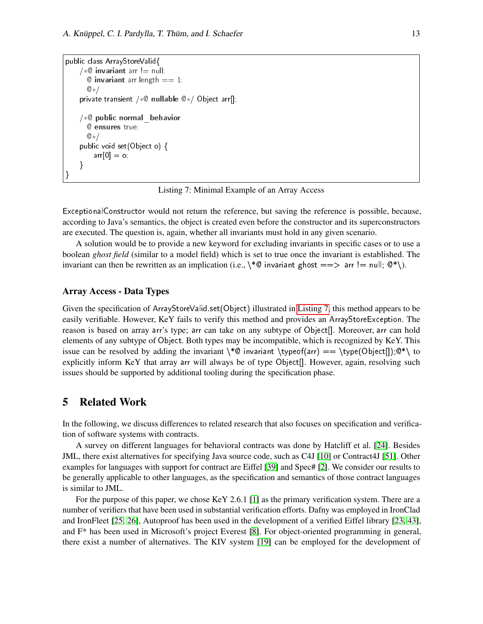```
public class ArrayStoreValid{
    /*@ invariant arr != null;
      @ invariant arr length == 1;@∗/
    private transient /∗@ nullable @∗/ Object arr[];
    /∗@ public normal_behavior
      @ ensures true;
      @∗/
    public void set(Object o) {
        arr[0] = o;}
}
```
Listing 7: Minimal Example of an Array Access

ExceptionalConstructor would not return the reference, but saving the reference is possible, because, according to Java's semantics, the object is created even before the constructor and its superconstructors are executed. The question is, again, whether all invariants must hold in any given scenario.

A solution would be to provide a new keyword for excluding invariants in specific cases or to use a boolean *ghost field* (similar to a model field) which is set to true once the invariant is established. The invariant can then be rewritten as an implication (i.e.,  $\setminus^* \mathbb{Q}$  invariant ghost ==> arr != null;  $\mathbb{Q}^* \setminus$ ).

#### Array Access - Data Types

Given the specification of ArrayStoreValid.set(Object) illustrated in [Listing 7,](#page-12-1) this method appears to be easily verifiable. However, KeY fails to verify this method and provides an ArrayStoreException. The reason is based on array arr's type; arr can take on any subtype of Object[]. Moreover, arr can hold elements of any subtype of Object. Both types may be incompatible, which is recognized by KeY. This issue can be resolved by adding the invariant  $\setminus \mathbb{Q}$  invariant  $\type(6\ = \type(Object|j); \mathbb{Q}^* \to \mathbb{Q})$ explicitly inform KeY that array arr will always be of type Object[]. However, again, resolving such issues should be supported by additional tooling during the specification phase.

# <span id="page-12-0"></span>5 Related Work

In the following, we discuss differences to related research that also focuses on specification and verification of software systems with contracts.

A survey on different languages for behavioral contracts was done by Hatcliff et al. [\[24\]](#page-16-0). Besides JML, there exist alternatives for specifying Java source code, such as C4J [\[10\]](#page-15-9) or Contract4J [\[51\]](#page-17-6). Other examples for languages with support for contract are Eiffel [\[39\]](#page-16-5) and Spec# [\[2\]](#page-14-0). We consider our results to be generally applicable to other languages, as the specification and semantics of those contract languages is similar to JML.

For the purpose of this paper, we chose KeY 2.6.1 [\[1\]](#page-14-3) as the primary verification system. There are a number of verifiers that have been used in substantial verification efforts. Dafny was employed in IronClad and IronFleet [\[25,](#page-16-11) [26\]](#page-16-12), Autoproof has been used in the development of a verified Eiffel library [\[23,](#page-15-10) [43\]](#page-16-13), and F\* has been used in Microsoft's project Everest [\[8\]](#page-15-11). For object-oriented programming in general, there exist a number of alternatives. The KIV system [\[19\]](#page-15-12) can be employed for the development of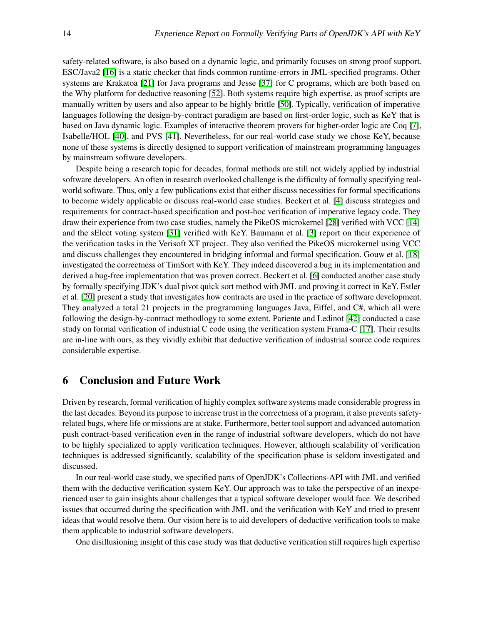safety-related software, is also based on a dynamic logic, and primarily focuses on strong proof support. ESC/Java2 [\[16\]](#page-15-13) is a static checker that finds common runtime-errors in JML-specified programs. Other systems are Krakatoa [\[21\]](#page-15-14) for Java programs and Jesse [\[37\]](#page-16-14) for C programs, which are both based on the Why platform for deductive reasoning [\[52\]](#page-17-7). Both systems require high expertise, as proof scripts are manually written by users and also appear to be highly brittle [\[50\]](#page-17-8). Typically, verification of imperative languages following the design-by-contract paradigm are based on first-order logic, such as KeY that is based on Java dynamic logic. Examples of interactive theorem provers for higher-order logic are Coq [\[7\]](#page-15-15), Isabelle/HOL [\[40\]](#page-16-15), and PVS [\[41\]](#page-16-16). Nevertheless, for our real-world case study we chose KeY, because none of these systems is directly designed to support verification of mainstream programming languages by mainstream software developers.

Despite being a research topic for decades, formal methods are still not widely applied by industrial software developers. An often in research overlooked challenge is the difficulty of formally specifying realworld software. Thus, only a few publications exist that either discuss necessities for formal specifications to become widely applicable or discuss real-world case studies. Beckert et al. [\[4\]](#page-14-2) discuss strategies and requirements for contract-based specification and post-hoc verification of imperative legacy code. They draw their experience from two case studies, namely the PikeOS microkernel [\[28\]](#page-16-17) verified with VCC [\[14\]](#page-15-16) and the sElect voting system [\[31\]](#page-16-18) verified with KeY. Baumann et al. [\[3\]](#page-14-1) report on their experience of the verification tasks in the Verisoft XT project. They also verified the PikeOS microkernel using VCC and discuss challenges they encountered in bridging informal and formal specification. Gouw et al. [\[18\]](#page-15-5) investigated the correctness of TimSort with KeY. They indeed discovered a bug in its implementation and derived a bug-free implementation that was proven correct. Beckert et al. [\[6\]](#page-15-7) conducted another case study by formally specifying JDK's dual pivot quick sort method with JML and proving it correct in KeY. Estler et al. [\[20\]](#page-15-17) present a study that investigates how contracts are used in the practice of software development. They analyzed a total 21 projects in the programming languages Java, Eiffel, and C#, which all were following the design-by-contract methodlogy to some extent. Pariente and Ledinot [\[42\]](#page-16-19) conducted a case study on formal verification of industrial C code using the verification system Frama-C [\[17\]](#page-15-18). Their results are in-line with ours, as they vividly exhibit that deductive verification of industrial source code requires considerable expertise.

# <span id="page-13-0"></span>6 Conclusion and Future Work

Driven by research, formal verification of highly complex software systems made considerable progress in the last decades. Beyond its purpose to increase trust in the correctness of a program, it also prevents safetyrelated bugs, where life or missions are at stake. Furthermore, better tool support and advanced automation push contract-based verification even in the range of industrial software developers, which do not have to be highly specialized to apply verification techniques. However, although scalability of verification techniques is addressed significantly, scalability of the specification phase is seldom investigated and discussed.

In our real-world case study, we specified parts of OpenJDK's Collections-API with JML and verified them with the deductive verification system KeY. Our approach was to take the perspective of an inexperienced user to gain insights about challenges that a typical software developer would face. We described issues that occurred during the specification with JML and the verification with KeY and tried to present ideas that would resolve them. Our vision here is to aid developers of deductive verification tools to make them applicable to industrial software developers.

One disillusioning insight of this case study was that deductive verification still requires high expertise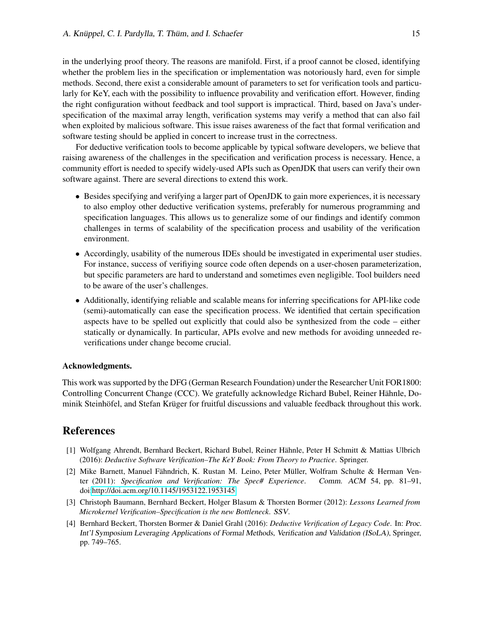in the underlying proof theory. The reasons are manifold. First, if a proof cannot be closed, identifying whether the problem lies in the specification or implementation was notoriously hard, even for simple methods. Second, there exist a considerable amount of parameters to set for verification tools and particularly for KeY, each with the possibility to influence provability and verification effort. However, finding the right configuration without feedback and tool support is impractical. Third, based on Java's underspecification of the maximal array length, verification systems may verify a method that can also fail when exploited by malicious software. This issue raises awareness of the fact that formal verification and software testing should be applied in concert to increase trust in the correctness.

For deductive verification tools to become applicable by typical software developers, we believe that raising awareness of the challenges in the specification and verification process is necessary. Hence, a community effort is needed to specify widely-used APIs such as OpenJDK that users can verify their own software against. There are several directions to extend this work.

- Besides specifying and verifying a larger part of OpenJDK to gain more experiences, it is necessary to also employ other deductive verification systems, preferably for numerous programming and specification languages. This allows us to generalize some of our findings and identify common challenges in terms of scalability of the specification process and usability of the verification environment.
- Accordingly, usability of the numerous IDEs should be investigated in experimental user studies. For instance, success of verifiying source code often depends on a user-chosen parameterization, but specific parameters are hard to understand and sometimes even negligible. Tool builders need to be aware of the user's challenges.
- Additionally, identifying reliable and scalable means for inferring specifications for API-like code (semi)-automatically can ease the specification process. We identified that certain specification aspects have to be spelled out explicitly that could also be synthesized from the code – either statically or dynamically. In particular, APIs evolve and new methods for avoiding unneeded reverifications under change become crucial.

#### Acknowledgments.

This work was supported by the DFG (German Research Foundation) under the Researcher Unit FOR1800: Controlling Concurrent Change (CCC). We gratefully acknowledge Richard Bubel, Reiner Hähnle, Dominik Steinhöfel, and Stefan Krüger for fruitful discussions and valuable feedback throughout this work.

# References

- <span id="page-14-3"></span>[1] Wolfgang Ahrendt, Bernhard Beckert, Richard Bubel, Reiner Hähnle, Peter H Schmitt & Mattias Ulbrich (2016): *Deductive Software Verification–The KeY Book: From Theory to Practice*. Springer.
- <span id="page-14-0"></span>[2] Mike Barnett, Manuel Fähndrich, K. Rustan M. Leino, Peter Müller, Wolfram Schulte & Herman Venter (2011): *Specification and Verification: The Spec# Experience*. Comm. ACM 54, pp. 81–91, doi[:http://doi.acm.org/10.1145/1953122.1953145.](http://dx.doi.org/http://doi.acm.org/10.1145/1953122.1953145)
- <span id="page-14-1"></span>[3] Christoph Baumann, Bernhard Beckert, Holger Blasum & Thorsten Bormer (2012): *Lessons Learned from Microkernel Verification–Specification is the new Bottleneck*. SSV.
- <span id="page-14-2"></span>[4] Bernhard Beckert, Thorsten Bormer & Daniel Grahl (2016): *Deductive Verification of Legacy Code*. In: Proc. Int'l Symposium Leveraging Applications of Formal Methods, Verification and Validation (ISoLA), Springer, pp. 749–765.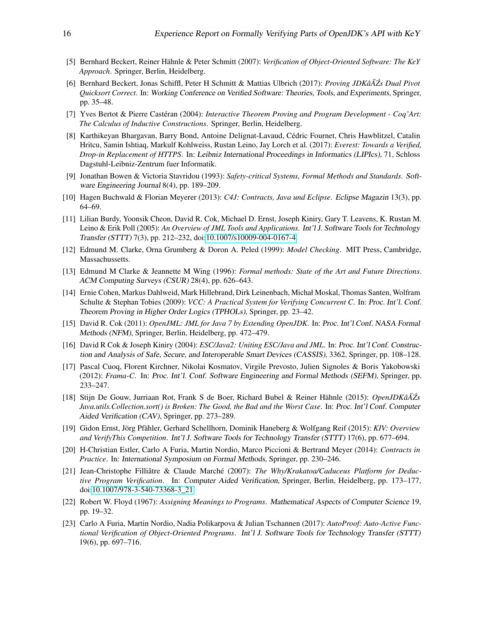- <span id="page-15-2"></span>[5] Bernhard Beckert, Reiner Hähnle & Peter Schmitt (2007): *Verification of Object-Oriented Software: The KeY Approach*. Springer, Berlin, Heidelberg.
- <span id="page-15-7"></span>[6] Bernhard Beckert, Jonas Schiffl, Peter H Schmitt & Mattias Ulbrich (2017): *Proving JDKâA˘Zs Dual Pivot ´ Quicksort Correct*. In: Working Conference on Verified Software: Theories, Tools, and Experiments, Springer, pp. 35–48.
- <span id="page-15-15"></span>[7] Yves Bertot & Pierre Castéran (2004): *Interactive Theorem Proving and Program Development - Coq'Art: The Calculus of Inductive Constructions*. Springer, Berlin, Heidelberg.
- <span id="page-15-11"></span>[8] Karthikeyan Bhargavan, Barry Bond, Antoine Delignat-Lavaud, Cédric Fournet, Chris Hawblitzel, Catalin Hritcu, Samin Ishtiaq, Markulf Kohlweiss, Rustan Leino, Jay Lorch et al. (2017): *Everest: Towards a Verified, Drop-in Replacement of HTTPS*. In: Leibniz International Proceedings in Informatics (LIPIcs), 71, Schloss Dagstuhl-Leibniz-Zentrum fuer Informatik.
- <span id="page-15-0"></span>[9] Jonathan Bowen & Victoria Stavridou (1993): *Safety-critical Systems, Formal Methods and Standards*. Software Engineering Journal 8(4), pp. 189–209.
- <span id="page-15-9"></span>[10] Hagen Buchwald & Florian Meyerer (2013): *C4J: Contracts, Java und Eclipse*. Eclipse Magazin 13(3), pp. 64–69.
- <span id="page-15-3"></span>[11] Lilian Burdy, Yoonsik Cheon, David R. Cok, Michael D. Ernst, Joseph Kiniry, Gary T. Leavens, K. Rustan M. Leino & Erik Poll (2005): *An Overview of JML Tools and Applications*. Int'l J. Software Tools for Technology Transfer (STTT) 7(3), pp. 212–232, doi[:10.1007/s10009-004-0167-4.](http://dx.doi.org/10.1007/s10009-004-0167-4)
- <span id="page-15-4"></span>[12] Edmund M. Clarke, Orna Grumberg & Doron A. Peled (1999): *Model Checking*. MIT Press, Cambridge, Massachussetts.
- <span id="page-15-1"></span>[13] Edmund M Clarke & Jeannette M Wing (1996): *Formal methods: State of the Art and Future Directions*. ACM Computing Surveys (CSUR) 28(4), pp. 626–643.
- <span id="page-15-16"></span>[14] Ernie Cohen, Markus Dahlweid, Mark Hillebrand, Dirk Leinenbach, Michał Moskal, Thomas Santen, Wolfram Schulte & Stephan Tobies (2009): *VCC: A Practical System for Verifying Concurrent C*. In: Proc. Int'l. Conf. Theorem Proving in Higher Order Logics (TPHOLs), Springer, pp. 23–42.
- <span id="page-15-6"></span>[15] David R. Cok (2011): *OpenJML: JML for Java 7 by Extending OpenJDK*. In: Proc. Int'l Conf. NASA Formal Methods (NFM), Springer, Berlin, Heidelberg, pp. 472–479.
- <span id="page-15-13"></span>[16] David R Cok & Joseph Kiniry (2004): *ESC/Java2: Uniting ESC/Java and JML*. In: Proc. Int'l Conf. Construction and Analysis of Safe, Secure, and Interoperable Smart Devices (CASSIS), 3362, Springer, pp. 108–128.
- <span id="page-15-18"></span>[17] Pascal Cuoq, Florent Kirchner, Nikolai Kosmatov, Virgile Prevosto, Julien Signoles & Boris Yakobowski (2012): *Frama-C*. In: Proc. Int'l. Conf. Software Engineering and Formal Methods (SEFM), Springer, pp. 233–247.
- <span id="page-15-5"></span>[18] Stijn De Gouw, Jurriaan Rot, Frank S de Boer, Richard Bubel & Reiner Hähnle (2015): *OpenJDKâA˘Zs´ Java.utils.Collection.sort() is Broken: The Good, the Bad and the Worst Case*. In: Proc. Int'l Conf. Computer Aided Verification (CAV), Springer, pp. 273–289.
- <span id="page-15-12"></span>[19] Gidon Ernst, Jörg Pfähler, Gerhard Schellhorn, Dominik Haneberg & Wolfgang Reif (2015): *KIV: Overview and VerifyThis Competition*. Int'l J. Software Tools for Technology Transfer (STTT) 17(6), pp. 677–694.
- <span id="page-15-17"></span>[20] H-Christian Estler, Carlo A Furia, Martin Nordio, Marco Piccioni & Bertrand Meyer (2014): *Contracts in Practice*. In: International Symposium on Formal Methods, Springer, pp. 230–246.
- <span id="page-15-14"></span>[21] Jean-Christophe Filliâtre & Claude Marché (2007): *The Why/Krakatoa/Caduceus Platform for Deductive Program Verification*. In: Computer Aided Verification, Springer, Berlin, Heidelberg, pp. 173–177, doi[:10.1007/978-3-540-73368-3\\_21.](http://dx.doi.org/10.1007/978-3-540-73368-3_21)
- <span id="page-15-8"></span>[22] Robert W. Floyd (1967): *Assigning Meanings to Programs*. Mathematical Aspects of Computer Science 19, pp. 19–32.
- <span id="page-15-10"></span>[23] Carlo A Furia, Martin Nordio, Nadia Polikarpova & Julian Tschannen (2017): *AutoProof: Auto-Active Functional Verification of Object-Oriented Programs*. Int'l J. Software Tools for Technology Transfer (STTT) 19(6), pp. 697–716.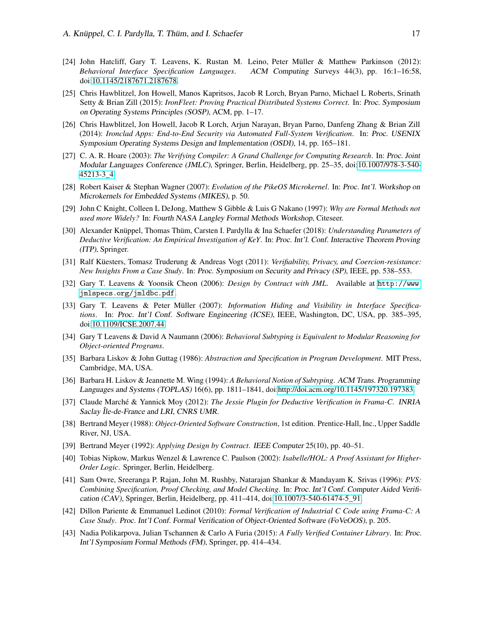- <span id="page-16-0"></span>[24] John Hatcliff, Gary T. Leavens, K. Rustan M. Leino, Peter Müller & Matthew Parkinson (2012): *Behavioral Interface Specification Languages*. ACM Computing Surveys 44(3), pp. 16:1–16:58, doi[:10.1145/2187671.2187678.](http://dx.doi.org/10.1145/2187671.2187678)
- <span id="page-16-11"></span>[25] Chris Hawblitzel, Jon Howell, Manos Kapritsos, Jacob R Lorch, Bryan Parno, Michael L Roberts, Srinath Setty & Brian Zill (2015): *IronFleet: Proving Practical Distributed Systems Correct*. In: Proc. Symposium on Operating Systems Principles (SOSP), ACM, pp. 1–17.
- <span id="page-16-12"></span>[26] Chris Hawblitzel, Jon Howell, Jacob R Lorch, Arjun Narayan, Bryan Parno, Danfeng Zhang & Brian Zill (2014): *Ironclad Apps: End-to-End Security via Automated Full-System Verification*. In: Proc. USENIX Symposium Operating Systems Design and Implementation (OSDI), 14, pp. 165–181.
- <span id="page-16-6"></span>[27] C. A. R. Hoare (2003): *The Verifying Compiler: A Grand Challenge for Computing Research*. In: Proc. Joint Modular Languages Conference (JMLC), Springer, Berlin, Heidelberg, pp. 25–35, doi[:10.1007/978-3-540-](http://dx.doi.org/10.1007/978-3-540-45213-3_4) [45213-3\\_4.](http://dx.doi.org/10.1007/978-3-540-45213-3_4)
- <span id="page-16-17"></span>[28] Robert Kaiser & Stephan Wagner (2007): *Evolution of the PikeOS Microkernel*. In: Proc. Int'l. Workshop on Microkernels for Embedded Systems (MIKES), p. 50.
- <span id="page-16-1"></span>[29] John C Knight, Colleen L DeJong, Matthew S Gibble & Luis G Nakano (1997): *Why are Formal Methods not used more Widely?* In: Fourth NASA Langley Formal Methods Workshop, Citeseer.
- <span id="page-16-7"></span>[30] Alexander Knüppel, Thomas Thüm, Carsten I. Pardylla & Ina Schaefer (2018): *Understanding Parameters of Deductive Verification: An Empirical Investigation of KeY*. In: Proc. Int'l. Conf. Interactive Theorem Proving (ITP), Springer.
- <span id="page-16-18"></span>[31] Ralf Küesters, Tomasz Truderung & Andreas Vogt (2011): *Verifiability, Privacy, and Coercion-resistance: New Insights From a Case Study*. In: Proc. Symposium on Security and Privacy (SP), IEEE, pp. 538–553.
- <span id="page-16-3"></span>[32] Gary T. Leavens & Yoonsik Cheon (2006): *Design by Contract with JML*. Available at [http://www.](http://www.jmlspecs.org/jmldbc.pdf) [jmlspecs.org/jmldbc.pdf](http://www.jmlspecs.org/jmldbc.pdf).
- <span id="page-16-10"></span>[33] Gary T. Leavens & Peter Müller (2007): *Information Hiding and Visibility in Interface Specifications*. In: Proc. Int'l Conf. Software Engineering (ICSE), IEEE, Washington, DC, USA, pp. 385–395, doi[:10.1109/ICSE.2007.44.](http://dx.doi.org/10.1109/ICSE.2007.44)
- <span id="page-16-9"></span>[34] Gary T Leavens & David A Naumann (2006): *Behavioral Subtyping is Equivalent to Modular Reasoning for Object-oriented Programs*.
- <span id="page-16-4"></span>[35] Barbara Liskov & John Guttag (1986): *Abstraction and Specification in Program Development*. MIT Press, Cambridge, MA, USA.
- <span id="page-16-8"></span>[36] Barbara H. Liskov & Jeannette M. Wing (1994): *A Behavioral Notion of Subtyping*. ACM Trans. Programming Languages and Systems (TOPLAS) 16(6), pp. 1811–1841, doi[:http://doi.acm.org/10.1145/197320.197383.](http://dx.doi.org/http://doi.acm.org/10.1145/197320.197383)
- <span id="page-16-14"></span>[37] Claude Marché & Yannick Moy (2012): *The Jessie Plugin for Deductive Verification in Frama-C*. INRIA Saclay Île-de-France and LRI, CNRS UMR.
- <span id="page-16-2"></span>[38] Bertrand Meyer (1988): *Object-Oriented Software Construction*, 1st edition. Prentice-Hall, Inc., Upper Saddle River, NJ, USA.
- <span id="page-16-5"></span>[39] Bertrand Meyer (1992): *Applying Design by Contract*. IEEE Computer 25(10), pp. 40–51.
- <span id="page-16-15"></span>[40] Tobias Nipkow, Markus Wenzel & Lawrence C. Paulson (2002): *Isabelle/HOL: A Proof Assistant for Higher-Order Logic*. Springer, Berlin, Heidelberg.
- <span id="page-16-16"></span>[41] Sam Owre, Sreeranga P. Rajan, John M. Rushby, Natarajan Shankar & Mandayam K. Srivas (1996): *PVS: Combining Specification, Proof Checking, and Model Checking*. In: Proc. Int'l Conf. Computer Aided Verification (CAV), Springer, Berlin, Heidelberg, pp. 411–414, doi[:10.1007/3-540-61474-5\\_91.](http://dx.doi.org/10.1007/3-540-61474-5_91)
- <span id="page-16-19"></span>[42] Dillon Pariente & Emmanuel Ledinot (2010): *Formal Verification of Industrial C Code using Frama-C: A Case Study*. Proc. Int'l Conf. Formal Verification of Object-Oriented Software (FoVeOOS), p. 205.
- <span id="page-16-13"></span>[43] Nadia Polikarpova, Julian Tschannen & Carlo A Furia (2015): *A Fully Verified Container Library*. In: Proc. Int'l Symposium Formal Methods (FM), Springer, pp. 414–434.